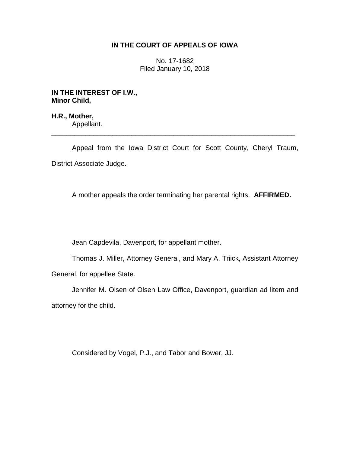# **IN THE COURT OF APPEALS OF IOWA**

No. 17-1682 Filed January 10, 2018

**IN THE INTEREST OF I.W., Minor Child,**

**H.R., Mother,** Appellant. \_\_\_\_\_\_\_\_\_\_\_\_\_\_\_\_\_\_\_\_\_\_\_\_\_\_\_\_\_\_\_\_\_\_\_\_\_\_\_\_\_\_\_\_\_\_\_\_\_\_\_\_\_\_\_\_\_\_\_\_\_\_\_\_

Appeal from the Iowa District Court for Scott County, Cheryl Traum, District Associate Judge.

A mother appeals the order terminating her parental rights. **AFFIRMED.**

Jean Capdevila, Davenport, for appellant mother.

Thomas J. Miller, Attorney General, and Mary A. Triick, Assistant Attorney General, for appellee State.

Jennifer M. Olsen of Olsen Law Office, Davenport, guardian ad litem and attorney for the child.

Considered by Vogel, P.J., and Tabor and Bower, JJ.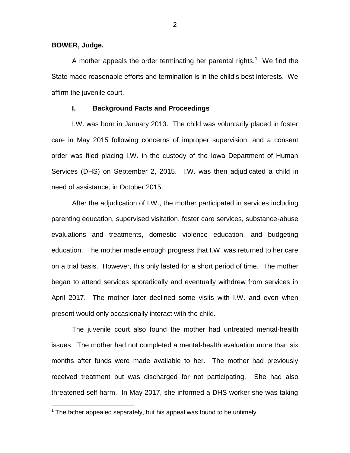**BOWER, Judge.**

 $\overline{a}$ 

A mother appeals the order terminating her parental rights.<sup>1</sup> We find the State made reasonable efforts and termination is in the child's best interests. We affirm the juvenile court.

#### **I. Background Facts and Proceedings**

I.W. was born in January 2013. The child was voluntarily placed in foster care in May 2015 following concerns of improper supervision, and a consent order was filed placing I.W. in the custody of the Iowa Department of Human Services (DHS) on September 2, 2015. I.W. was then adjudicated a child in need of assistance, in October 2015.

After the adjudication of I.W., the mother participated in services including parenting education, supervised visitation, foster care services, substance-abuse evaluations and treatments, domestic violence education, and budgeting education. The mother made enough progress that I.W. was returned to her care on a trial basis. However, this only lasted for a short period of time. The mother began to attend services sporadically and eventually withdrew from services in April 2017. The mother later declined some visits with I.W. and even when present would only occasionally interact with the child.

The juvenile court also found the mother had untreated mental-health issues. The mother had not completed a mental-health evaluation more than six months after funds were made available to her. The mother had previously received treatment but was discharged for not participating. She had also threatened self-harm. In May 2017, she informed a DHS worker she was taking

 $1$  The father appealed separately, but his appeal was found to be untimely.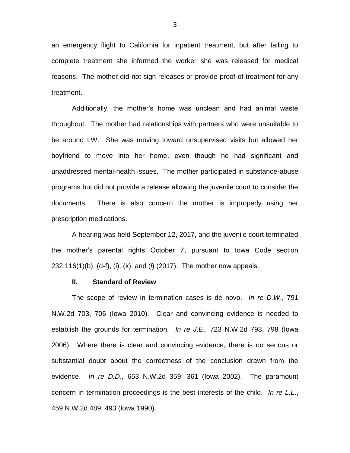an emergency flight to California for inpatient treatment, but after failing to complete treatment she informed the worker she was released for medical reasons. The mother did not sign releases or provide proof of treatment for any treatment.

Additionally, the mother's home was unclean and had animal waste throughout. The mother had relationships with partners who were unsuitable to be around I.W. She was moving toward unsupervised visits but allowed her boyfriend to move into her home, even though he had significant and unaddressed mental-health issues. The mother participated in substance-abuse programs but did not provide a release allowing the juvenile court to consider the documents. There is also concern the mother is improperly using her prescription medications.

A hearing was held September 12, 2017, and the juvenile court terminated the mother's parental rights October 7, pursuant to Iowa Code section 232.116(1)(b), (d-f), (i), (k), and (*l*) (2017). The mother now appeals.

#### **II. Standard of Review**

The scope of review in termination cases is de novo. *In re D.W*., 791 N.W.2d 703, 706 (Iowa 2010). Clear and convincing evidence is needed to establish the grounds for termination. *In re J.E*., 723 N.W.2d 793, 798 (Iowa 2006). Where there is clear and convincing evidence, there is no serious or substantial doubt about the correctness of the conclusion drawn from the evidence. *In re D.D*., 653 N.W.2d 359, 361 (Iowa 2002). The paramount concern in termination proceedings is the best interests of the child. *In re L.L*., 459 N.W.2d 489, 493 (Iowa 1990).